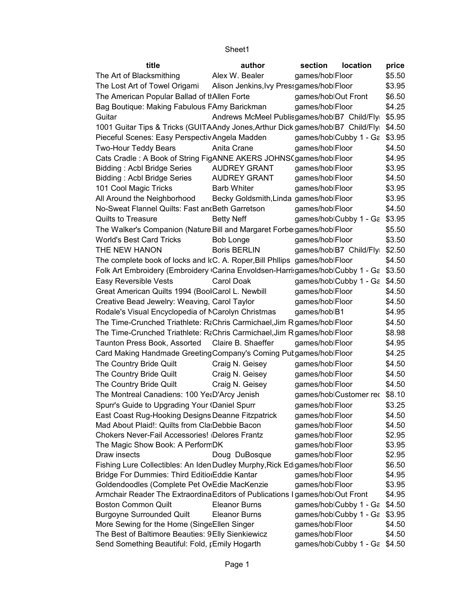| The Art of Blacksmithing<br>Alex W. Bealer<br>games/hoblFloor<br>\$5.50<br>The Lost Art of Towel Origami<br>Alison Jenkins, Ivy Pressgames/hoblFloor<br>\$3.95<br>The American Popular Ballad of tIAllen Forte<br>games/hoblOut Front<br>\$6.50<br>\$4.25<br>Bag Boutique: Making Fabulous FAmy Barickman<br>games/hoblFloor<br>Andrews McMeel Publisgames/hoblB7 Child/Flyi \$5.95<br>Guitar<br>1001 Guitar Tips & Tricks (GUITAAndy Jones, Arthur Dick games/hoblB7 Child/Flyi \$4.50<br>Pieceful Scenes: Easy Perspectiv Angela Madden<br>games/hoblCubby 1 - Ga \$3.95<br><b>Two-Hour Teddy Bears</b><br>Anita Crane<br>games/hoblFloor<br>\$4.50<br>Cats Cradle: A Book of String FigANNE AKERS JOHNS (games/hoblFloor<br>\$4.95<br>Bidding: Acbl Bridge Series<br><b>AUDREY GRANT</b><br>games/hoblFloor<br>\$3.95<br><b>Bidding: Acbl Bridge Series</b><br><b>AUDREY GRANT</b><br>games/hoblFloor<br>\$4.50<br>101 Cool Magic Tricks<br><b>Barb Whiter</b><br>games/hoblFloor<br>\$3.95<br>All Around the Neighborhood<br>Becky Goldsmith, Linda games/hoblFloor<br>\$3.95<br>No-Sweat Flannel Quilts: Fast and Beth Garretson<br>games/hoblFloor<br>\$4.50<br>Quilts to Treasure<br><b>Betty Neff</b><br>games/hoblCubby 1 - Ga \$3.95<br>The Walker's Companion (Nature Bill and Margaret Forbe games/hoblFloor<br>\$5.50<br><b>World's Best Card Tricks</b><br><b>Bob Longe</b><br>games/hoblFloor<br>\$3.50<br>THE NEW HANON<br><b>Boris BERLIN</b><br>games/hoblB7 Child/Flyi \$2.50<br>The complete book of locks and kC. A. Roper, Bill Philips games/hoblFloor<br>\$4.50<br>Folk Art Embroidery (Embroidery Carina Envoldsen-Harrisgames/hoblCubby 1 - Ga \$3.50<br>Easy Reversible Vests<br>Carol Doak<br>games/hoblCubby 1 - Ga \$4.50<br>Great American Quilts 1994 (BoolCarol L. Newbill<br>games/hoblFloor<br>\$4.50<br>Creative Bead Jewelry: Weaving, Carol Taylor<br>\$4.50<br>games/hoblFloor<br>Rodale's Visual Encyclopedia of NCarolyn Christmas<br>\$4.95<br>games/hoblB1<br>The Time-Crunched Triathlete: R&Chris Carmichael, Jim R games/hoblFloor<br>\$4.50<br>The Time-Crunched Triathlete: R&Chris Carmichael, Jim R games/hoblFloor<br>\$8.98<br>Taunton Press Book, Assorted Claire B. Shaeffer<br>games/hoblFloor<br>\$4.95<br>Card Making Handmade Greeting Company's Coming Putgames/hoblFloor<br>\$4.25<br>The Country Bride Quilt<br>\$4.50<br>Craig N. Geisey<br>games/hoblFloor<br>The Country Bride Quilt<br>Craig N. Geisey<br>games/hoblFloor<br>\$4.50<br>The Country Bride Quilt<br>Craig N. Geisey<br>games/hoblFloor<br>\$4.50<br>The Montreal Canadiens: 100 YetD'Arcy Jenish<br>games/hoblCustomer rec \$8.10<br>Spurr's Guide to Upgrading Your (Daniel Spurr<br>\$3.25<br>games/hoblFloor<br>East Coast Rug-Hooking Designs Deanne Fitzpatrick<br>games/hoblFloor<br>\$4.50<br>Mad About Plaid!: Quilts from Cla: Debbie Bacon<br>games/hoblFloor<br>\$4.50<br><b>Chokers Never-Fail Accessories! Delores Frantz</b><br>games/hoblFloor<br>\$2.95<br>The Magic Show Book: A Perform DK<br>games/hoblFloor<br>\$3.95<br>Doug DuBosque<br>games/hoblFloor<br>\$2.95<br>Draw insects<br>Fishing Lure Collectibles: An Iden Dudley Murphy, Rick Edigames/hoblFloor<br>\$6.50<br>Bridge For Dummies: Third Editio Eddie Kantar<br>\$4.95<br>games/hoblFloor<br>Goldendoodles (Complete Pet OvEdie MacKenzie<br>games/hoblFloor<br>\$3.95<br>Armchair Reader The Extraordina Editors of Publications I games/hoblOut Front<br>\$4.95<br>games/hoblCubby 1 - Ga<br><b>Boston Common Quilt</b><br><b>Eleanor Burns</b><br>\$4.50<br><b>Burgoyne Surrounded Quilt</b><br><b>Eleanor Burns</b><br>games/hoblCubby 1 - Ga \$3.95<br>More Sewing for the Home (SingeEllen Singer<br>games/hoblFloor<br>\$4.50<br>games/hoblFloor<br>The Best of Baltimore Beauties: 9 Elly Sienkiewicz<br>\$4.50<br>games/hoblCubby 1 - Ga \$4.50<br>Send Something Beautiful: Fold, ¡Emily Hogarth | title | author | section | location | price |
|------------------------------------------------------------------------------------------------------------------------------------------------------------------------------------------------------------------------------------------------------------------------------------------------------------------------------------------------------------------------------------------------------------------------------------------------------------------------------------------------------------------------------------------------------------------------------------------------------------------------------------------------------------------------------------------------------------------------------------------------------------------------------------------------------------------------------------------------------------------------------------------------------------------------------------------------------------------------------------------------------------------------------------------------------------------------------------------------------------------------------------------------------------------------------------------------------------------------------------------------------------------------------------------------------------------------------------------------------------------------------------------------------------------------------------------------------------------------------------------------------------------------------------------------------------------------------------------------------------------------------------------------------------------------------------------------------------------------------------------------------------------------------------------------------------------------------------------------------------------------------------------------------------------------------------------------------------------------------------------------------------------------------------------------------------------------------------------------------------------------------------------------------------------------------------------------------------------------------------------------------------------------------------------------------------------------------------------------------------------------------------------------------------------------------------------------------------------------------------------------------------------------------------------------------------------------------------------------------------------------------------------------------------------------------------------------------------------------------------------------------------------------------------------------------------------------------------------------------------------------------------------------------------------------------------------------------------------------------------------------------------------------------------------------------------------------------------------------------------------------------------------------------------------------------------------------------------------------------------------------------------------------------------------------------------------------------------------------------------------------------------------------------------------------------------------------------------------------------------------------------------------------------------------------------------------------------------------------------------------------------------------------------------------------------------------------------------------------------------------------------------------------------------------------------------------------------------------------------------------------------------------------------------------------------|-------|--------|---------|----------|-------|
|                                                                                                                                                                                                                                                                                                                                                                                                                                                                                                                                                                                                                                                                                                                                                                                                                                                                                                                                                                                                                                                                                                                                                                                                                                                                                                                                                                                                                                                                                                                                                                                                                                                                                                                                                                                                                                                                                                                                                                                                                                                                                                                                                                                                                                                                                                                                                                                                                                                                                                                                                                                                                                                                                                                                                                                                                                                                                                                                                                                                                                                                                                                                                                                                                                                                                                                                                                                                                                                                                                                                                                                                                                                                                                                                                                                                                                                                                                                              |       |        |         |          |       |
|                                                                                                                                                                                                                                                                                                                                                                                                                                                                                                                                                                                                                                                                                                                                                                                                                                                                                                                                                                                                                                                                                                                                                                                                                                                                                                                                                                                                                                                                                                                                                                                                                                                                                                                                                                                                                                                                                                                                                                                                                                                                                                                                                                                                                                                                                                                                                                                                                                                                                                                                                                                                                                                                                                                                                                                                                                                                                                                                                                                                                                                                                                                                                                                                                                                                                                                                                                                                                                                                                                                                                                                                                                                                                                                                                                                                                                                                                                                              |       |        |         |          |       |
|                                                                                                                                                                                                                                                                                                                                                                                                                                                                                                                                                                                                                                                                                                                                                                                                                                                                                                                                                                                                                                                                                                                                                                                                                                                                                                                                                                                                                                                                                                                                                                                                                                                                                                                                                                                                                                                                                                                                                                                                                                                                                                                                                                                                                                                                                                                                                                                                                                                                                                                                                                                                                                                                                                                                                                                                                                                                                                                                                                                                                                                                                                                                                                                                                                                                                                                                                                                                                                                                                                                                                                                                                                                                                                                                                                                                                                                                                                                              |       |        |         |          |       |
|                                                                                                                                                                                                                                                                                                                                                                                                                                                                                                                                                                                                                                                                                                                                                                                                                                                                                                                                                                                                                                                                                                                                                                                                                                                                                                                                                                                                                                                                                                                                                                                                                                                                                                                                                                                                                                                                                                                                                                                                                                                                                                                                                                                                                                                                                                                                                                                                                                                                                                                                                                                                                                                                                                                                                                                                                                                                                                                                                                                                                                                                                                                                                                                                                                                                                                                                                                                                                                                                                                                                                                                                                                                                                                                                                                                                                                                                                                                              |       |        |         |          |       |
|                                                                                                                                                                                                                                                                                                                                                                                                                                                                                                                                                                                                                                                                                                                                                                                                                                                                                                                                                                                                                                                                                                                                                                                                                                                                                                                                                                                                                                                                                                                                                                                                                                                                                                                                                                                                                                                                                                                                                                                                                                                                                                                                                                                                                                                                                                                                                                                                                                                                                                                                                                                                                                                                                                                                                                                                                                                                                                                                                                                                                                                                                                                                                                                                                                                                                                                                                                                                                                                                                                                                                                                                                                                                                                                                                                                                                                                                                                                              |       |        |         |          |       |
|                                                                                                                                                                                                                                                                                                                                                                                                                                                                                                                                                                                                                                                                                                                                                                                                                                                                                                                                                                                                                                                                                                                                                                                                                                                                                                                                                                                                                                                                                                                                                                                                                                                                                                                                                                                                                                                                                                                                                                                                                                                                                                                                                                                                                                                                                                                                                                                                                                                                                                                                                                                                                                                                                                                                                                                                                                                                                                                                                                                                                                                                                                                                                                                                                                                                                                                                                                                                                                                                                                                                                                                                                                                                                                                                                                                                                                                                                                                              |       |        |         |          |       |
|                                                                                                                                                                                                                                                                                                                                                                                                                                                                                                                                                                                                                                                                                                                                                                                                                                                                                                                                                                                                                                                                                                                                                                                                                                                                                                                                                                                                                                                                                                                                                                                                                                                                                                                                                                                                                                                                                                                                                                                                                                                                                                                                                                                                                                                                                                                                                                                                                                                                                                                                                                                                                                                                                                                                                                                                                                                                                                                                                                                                                                                                                                                                                                                                                                                                                                                                                                                                                                                                                                                                                                                                                                                                                                                                                                                                                                                                                                                              |       |        |         |          |       |
|                                                                                                                                                                                                                                                                                                                                                                                                                                                                                                                                                                                                                                                                                                                                                                                                                                                                                                                                                                                                                                                                                                                                                                                                                                                                                                                                                                                                                                                                                                                                                                                                                                                                                                                                                                                                                                                                                                                                                                                                                                                                                                                                                                                                                                                                                                                                                                                                                                                                                                                                                                                                                                                                                                                                                                                                                                                                                                                                                                                                                                                                                                                                                                                                                                                                                                                                                                                                                                                                                                                                                                                                                                                                                                                                                                                                                                                                                                                              |       |        |         |          |       |
|                                                                                                                                                                                                                                                                                                                                                                                                                                                                                                                                                                                                                                                                                                                                                                                                                                                                                                                                                                                                                                                                                                                                                                                                                                                                                                                                                                                                                                                                                                                                                                                                                                                                                                                                                                                                                                                                                                                                                                                                                                                                                                                                                                                                                                                                                                                                                                                                                                                                                                                                                                                                                                                                                                                                                                                                                                                                                                                                                                                                                                                                                                                                                                                                                                                                                                                                                                                                                                                                                                                                                                                                                                                                                                                                                                                                                                                                                                                              |       |        |         |          |       |
|                                                                                                                                                                                                                                                                                                                                                                                                                                                                                                                                                                                                                                                                                                                                                                                                                                                                                                                                                                                                                                                                                                                                                                                                                                                                                                                                                                                                                                                                                                                                                                                                                                                                                                                                                                                                                                                                                                                                                                                                                                                                                                                                                                                                                                                                                                                                                                                                                                                                                                                                                                                                                                                                                                                                                                                                                                                                                                                                                                                                                                                                                                                                                                                                                                                                                                                                                                                                                                                                                                                                                                                                                                                                                                                                                                                                                                                                                                                              |       |        |         |          |       |
|                                                                                                                                                                                                                                                                                                                                                                                                                                                                                                                                                                                                                                                                                                                                                                                                                                                                                                                                                                                                                                                                                                                                                                                                                                                                                                                                                                                                                                                                                                                                                                                                                                                                                                                                                                                                                                                                                                                                                                                                                                                                                                                                                                                                                                                                                                                                                                                                                                                                                                                                                                                                                                                                                                                                                                                                                                                                                                                                                                                                                                                                                                                                                                                                                                                                                                                                                                                                                                                                                                                                                                                                                                                                                                                                                                                                                                                                                                                              |       |        |         |          |       |
|                                                                                                                                                                                                                                                                                                                                                                                                                                                                                                                                                                                                                                                                                                                                                                                                                                                                                                                                                                                                                                                                                                                                                                                                                                                                                                                                                                                                                                                                                                                                                                                                                                                                                                                                                                                                                                                                                                                                                                                                                                                                                                                                                                                                                                                                                                                                                                                                                                                                                                                                                                                                                                                                                                                                                                                                                                                                                                                                                                                                                                                                                                                                                                                                                                                                                                                                                                                                                                                                                                                                                                                                                                                                                                                                                                                                                                                                                                                              |       |        |         |          |       |
|                                                                                                                                                                                                                                                                                                                                                                                                                                                                                                                                                                                                                                                                                                                                                                                                                                                                                                                                                                                                                                                                                                                                                                                                                                                                                                                                                                                                                                                                                                                                                                                                                                                                                                                                                                                                                                                                                                                                                                                                                                                                                                                                                                                                                                                                                                                                                                                                                                                                                                                                                                                                                                                                                                                                                                                                                                                                                                                                                                                                                                                                                                                                                                                                                                                                                                                                                                                                                                                                                                                                                                                                                                                                                                                                                                                                                                                                                                                              |       |        |         |          |       |
|                                                                                                                                                                                                                                                                                                                                                                                                                                                                                                                                                                                                                                                                                                                                                                                                                                                                                                                                                                                                                                                                                                                                                                                                                                                                                                                                                                                                                                                                                                                                                                                                                                                                                                                                                                                                                                                                                                                                                                                                                                                                                                                                                                                                                                                                                                                                                                                                                                                                                                                                                                                                                                                                                                                                                                                                                                                                                                                                                                                                                                                                                                                                                                                                                                                                                                                                                                                                                                                                                                                                                                                                                                                                                                                                                                                                                                                                                                                              |       |        |         |          |       |
|                                                                                                                                                                                                                                                                                                                                                                                                                                                                                                                                                                                                                                                                                                                                                                                                                                                                                                                                                                                                                                                                                                                                                                                                                                                                                                                                                                                                                                                                                                                                                                                                                                                                                                                                                                                                                                                                                                                                                                                                                                                                                                                                                                                                                                                                                                                                                                                                                                                                                                                                                                                                                                                                                                                                                                                                                                                                                                                                                                                                                                                                                                                                                                                                                                                                                                                                                                                                                                                                                                                                                                                                                                                                                                                                                                                                                                                                                                                              |       |        |         |          |       |
|                                                                                                                                                                                                                                                                                                                                                                                                                                                                                                                                                                                                                                                                                                                                                                                                                                                                                                                                                                                                                                                                                                                                                                                                                                                                                                                                                                                                                                                                                                                                                                                                                                                                                                                                                                                                                                                                                                                                                                                                                                                                                                                                                                                                                                                                                                                                                                                                                                                                                                                                                                                                                                                                                                                                                                                                                                                                                                                                                                                                                                                                                                                                                                                                                                                                                                                                                                                                                                                                                                                                                                                                                                                                                                                                                                                                                                                                                                                              |       |        |         |          |       |
|                                                                                                                                                                                                                                                                                                                                                                                                                                                                                                                                                                                                                                                                                                                                                                                                                                                                                                                                                                                                                                                                                                                                                                                                                                                                                                                                                                                                                                                                                                                                                                                                                                                                                                                                                                                                                                                                                                                                                                                                                                                                                                                                                                                                                                                                                                                                                                                                                                                                                                                                                                                                                                                                                                                                                                                                                                                                                                                                                                                                                                                                                                                                                                                                                                                                                                                                                                                                                                                                                                                                                                                                                                                                                                                                                                                                                                                                                                                              |       |        |         |          |       |
|                                                                                                                                                                                                                                                                                                                                                                                                                                                                                                                                                                                                                                                                                                                                                                                                                                                                                                                                                                                                                                                                                                                                                                                                                                                                                                                                                                                                                                                                                                                                                                                                                                                                                                                                                                                                                                                                                                                                                                                                                                                                                                                                                                                                                                                                                                                                                                                                                                                                                                                                                                                                                                                                                                                                                                                                                                                                                                                                                                                                                                                                                                                                                                                                                                                                                                                                                                                                                                                                                                                                                                                                                                                                                                                                                                                                                                                                                                                              |       |        |         |          |       |
|                                                                                                                                                                                                                                                                                                                                                                                                                                                                                                                                                                                                                                                                                                                                                                                                                                                                                                                                                                                                                                                                                                                                                                                                                                                                                                                                                                                                                                                                                                                                                                                                                                                                                                                                                                                                                                                                                                                                                                                                                                                                                                                                                                                                                                                                                                                                                                                                                                                                                                                                                                                                                                                                                                                                                                                                                                                                                                                                                                                                                                                                                                                                                                                                                                                                                                                                                                                                                                                                                                                                                                                                                                                                                                                                                                                                                                                                                                                              |       |        |         |          |       |
|                                                                                                                                                                                                                                                                                                                                                                                                                                                                                                                                                                                                                                                                                                                                                                                                                                                                                                                                                                                                                                                                                                                                                                                                                                                                                                                                                                                                                                                                                                                                                                                                                                                                                                                                                                                                                                                                                                                                                                                                                                                                                                                                                                                                                                                                                                                                                                                                                                                                                                                                                                                                                                                                                                                                                                                                                                                                                                                                                                                                                                                                                                                                                                                                                                                                                                                                                                                                                                                                                                                                                                                                                                                                                                                                                                                                                                                                                                                              |       |        |         |          |       |
|                                                                                                                                                                                                                                                                                                                                                                                                                                                                                                                                                                                                                                                                                                                                                                                                                                                                                                                                                                                                                                                                                                                                                                                                                                                                                                                                                                                                                                                                                                                                                                                                                                                                                                                                                                                                                                                                                                                                                                                                                                                                                                                                                                                                                                                                                                                                                                                                                                                                                                                                                                                                                                                                                                                                                                                                                                                                                                                                                                                                                                                                                                                                                                                                                                                                                                                                                                                                                                                                                                                                                                                                                                                                                                                                                                                                                                                                                                                              |       |        |         |          |       |
|                                                                                                                                                                                                                                                                                                                                                                                                                                                                                                                                                                                                                                                                                                                                                                                                                                                                                                                                                                                                                                                                                                                                                                                                                                                                                                                                                                                                                                                                                                                                                                                                                                                                                                                                                                                                                                                                                                                                                                                                                                                                                                                                                                                                                                                                                                                                                                                                                                                                                                                                                                                                                                                                                                                                                                                                                                                                                                                                                                                                                                                                                                                                                                                                                                                                                                                                                                                                                                                                                                                                                                                                                                                                                                                                                                                                                                                                                                                              |       |        |         |          |       |
|                                                                                                                                                                                                                                                                                                                                                                                                                                                                                                                                                                                                                                                                                                                                                                                                                                                                                                                                                                                                                                                                                                                                                                                                                                                                                                                                                                                                                                                                                                                                                                                                                                                                                                                                                                                                                                                                                                                                                                                                                                                                                                                                                                                                                                                                                                                                                                                                                                                                                                                                                                                                                                                                                                                                                                                                                                                                                                                                                                                                                                                                                                                                                                                                                                                                                                                                                                                                                                                                                                                                                                                                                                                                                                                                                                                                                                                                                                                              |       |        |         |          |       |
|                                                                                                                                                                                                                                                                                                                                                                                                                                                                                                                                                                                                                                                                                                                                                                                                                                                                                                                                                                                                                                                                                                                                                                                                                                                                                                                                                                                                                                                                                                                                                                                                                                                                                                                                                                                                                                                                                                                                                                                                                                                                                                                                                                                                                                                                                                                                                                                                                                                                                                                                                                                                                                                                                                                                                                                                                                                                                                                                                                                                                                                                                                                                                                                                                                                                                                                                                                                                                                                                                                                                                                                                                                                                                                                                                                                                                                                                                                                              |       |        |         |          |       |
|                                                                                                                                                                                                                                                                                                                                                                                                                                                                                                                                                                                                                                                                                                                                                                                                                                                                                                                                                                                                                                                                                                                                                                                                                                                                                                                                                                                                                                                                                                                                                                                                                                                                                                                                                                                                                                                                                                                                                                                                                                                                                                                                                                                                                                                                                                                                                                                                                                                                                                                                                                                                                                                                                                                                                                                                                                                                                                                                                                                                                                                                                                                                                                                                                                                                                                                                                                                                                                                                                                                                                                                                                                                                                                                                                                                                                                                                                                                              |       |        |         |          |       |
|                                                                                                                                                                                                                                                                                                                                                                                                                                                                                                                                                                                                                                                                                                                                                                                                                                                                                                                                                                                                                                                                                                                                                                                                                                                                                                                                                                                                                                                                                                                                                                                                                                                                                                                                                                                                                                                                                                                                                                                                                                                                                                                                                                                                                                                                                                                                                                                                                                                                                                                                                                                                                                                                                                                                                                                                                                                                                                                                                                                                                                                                                                                                                                                                                                                                                                                                                                                                                                                                                                                                                                                                                                                                                                                                                                                                                                                                                                                              |       |        |         |          |       |
|                                                                                                                                                                                                                                                                                                                                                                                                                                                                                                                                                                                                                                                                                                                                                                                                                                                                                                                                                                                                                                                                                                                                                                                                                                                                                                                                                                                                                                                                                                                                                                                                                                                                                                                                                                                                                                                                                                                                                                                                                                                                                                                                                                                                                                                                                                                                                                                                                                                                                                                                                                                                                                                                                                                                                                                                                                                                                                                                                                                                                                                                                                                                                                                                                                                                                                                                                                                                                                                                                                                                                                                                                                                                                                                                                                                                                                                                                                                              |       |        |         |          |       |
|                                                                                                                                                                                                                                                                                                                                                                                                                                                                                                                                                                                                                                                                                                                                                                                                                                                                                                                                                                                                                                                                                                                                                                                                                                                                                                                                                                                                                                                                                                                                                                                                                                                                                                                                                                                                                                                                                                                                                                                                                                                                                                                                                                                                                                                                                                                                                                                                                                                                                                                                                                                                                                                                                                                                                                                                                                                                                                                                                                                                                                                                                                                                                                                                                                                                                                                                                                                                                                                                                                                                                                                                                                                                                                                                                                                                                                                                                                                              |       |        |         |          |       |
|                                                                                                                                                                                                                                                                                                                                                                                                                                                                                                                                                                                                                                                                                                                                                                                                                                                                                                                                                                                                                                                                                                                                                                                                                                                                                                                                                                                                                                                                                                                                                                                                                                                                                                                                                                                                                                                                                                                                                                                                                                                                                                                                                                                                                                                                                                                                                                                                                                                                                                                                                                                                                                                                                                                                                                                                                                                                                                                                                                                                                                                                                                                                                                                                                                                                                                                                                                                                                                                                                                                                                                                                                                                                                                                                                                                                                                                                                                                              |       |        |         |          |       |
|                                                                                                                                                                                                                                                                                                                                                                                                                                                                                                                                                                                                                                                                                                                                                                                                                                                                                                                                                                                                                                                                                                                                                                                                                                                                                                                                                                                                                                                                                                                                                                                                                                                                                                                                                                                                                                                                                                                                                                                                                                                                                                                                                                                                                                                                                                                                                                                                                                                                                                                                                                                                                                                                                                                                                                                                                                                                                                                                                                                                                                                                                                                                                                                                                                                                                                                                                                                                                                                                                                                                                                                                                                                                                                                                                                                                                                                                                                                              |       |        |         |          |       |
|                                                                                                                                                                                                                                                                                                                                                                                                                                                                                                                                                                                                                                                                                                                                                                                                                                                                                                                                                                                                                                                                                                                                                                                                                                                                                                                                                                                                                                                                                                                                                                                                                                                                                                                                                                                                                                                                                                                                                                                                                                                                                                                                                                                                                                                                                                                                                                                                                                                                                                                                                                                                                                                                                                                                                                                                                                                                                                                                                                                                                                                                                                                                                                                                                                                                                                                                                                                                                                                                                                                                                                                                                                                                                                                                                                                                                                                                                                                              |       |        |         |          |       |
|                                                                                                                                                                                                                                                                                                                                                                                                                                                                                                                                                                                                                                                                                                                                                                                                                                                                                                                                                                                                                                                                                                                                                                                                                                                                                                                                                                                                                                                                                                                                                                                                                                                                                                                                                                                                                                                                                                                                                                                                                                                                                                                                                                                                                                                                                                                                                                                                                                                                                                                                                                                                                                                                                                                                                                                                                                                                                                                                                                                                                                                                                                                                                                                                                                                                                                                                                                                                                                                                                                                                                                                                                                                                                                                                                                                                                                                                                                                              |       |        |         |          |       |
|                                                                                                                                                                                                                                                                                                                                                                                                                                                                                                                                                                                                                                                                                                                                                                                                                                                                                                                                                                                                                                                                                                                                                                                                                                                                                                                                                                                                                                                                                                                                                                                                                                                                                                                                                                                                                                                                                                                                                                                                                                                                                                                                                                                                                                                                                                                                                                                                                                                                                                                                                                                                                                                                                                                                                                                                                                                                                                                                                                                                                                                                                                                                                                                                                                                                                                                                                                                                                                                                                                                                                                                                                                                                                                                                                                                                                                                                                                                              |       |        |         |          |       |
|                                                                                                                                                                                                                                                                                                                                                                                                                                                                                                                                                                                                                                                                                                                                                                                                                                                                                                                                                                                                                                                                                                                                                                                                                                                                                                                                                                                                                                                                                                                                                                                                                                                                                                                                                                                                                                                                                                                                                                                                                                                                                                                                                                                                                                                                                                                                                                                                                                                                                                                                                                                                                                                                                                                                                                                                                                                                                                                                                                                                                                                                                                                                                                                                                                                                                                                                                                                                                                                                                                                                                                                                                                                                                                                                                                                                                                                                                                                              |       |        |         |          |       |
|                                                                                                                                                                                                                                                                                                                                                                                                                                                                                                                                                                                                                                                                                                                                                                                                                                                                                                                                                                                                                                                                                                                                                                                                                                                                                                                                                                                                                                                                                                                                                                                                                                                                                                                                                                                                                                                                                                                                                                                                                                                                                                                                                                                                                                                                                                                                                                                                                                                                                                                                                                                                                                                                                                                                                                                                                                                                                                                                                                                                                                                                                                                                                                                                                                                                                                                                                                                                                                                                                                                                                                                                                                                                                                                                                                                                                                                                                                                              |       |        |         |          |       |
|                                                                                                                                                                                                                                                                                                                                                                                                                                                                                                                                                                                                                                                                                                                                                                                                                                                                                                                                                                                                                                                                                                                                                                                                                                                                                                                                                                                                                                                                                                                                                                                                                                                                                                                                                                                                                                                                                                                                                                                                                                                                                                                                                                                                                                                                                                                                                                                                                                                                                                                                                                                                                                                                                                                                                                                                                                                                                                                                                                                                                                                                                                                                                                                                                                                                                                                                                                                                                                                                                                                                                                                                                                                                                                                                                                                                                                                                                                                              |       |        |         |          |       |
|                                                                                                                                                                                                                                                                                                                                                                                                                                                                                                                                                                                                                                                                                                                                                                                                                                                                                                                                                                                                                                                                                                                                                                                                                                                                                                                                                                                                                                                                                                                                                                                                                                                                                                                                                                                                                                                                                                                                                                                                                                                                                                                                                                                                                                                                                                                                                                                                                                                                                                                                                                                                                                                                                                                                                                                                                                                                                                                                                                                                                                                                                                                                                                                                                                                                                                                                                                                                                                                                                                                                                                                                                                                                                                                                                                                                                                                                                                                              |       |        |         |          |       |
|                                                                                                                                                                                                                                                                                                                                                                                                                                                                                                                                                                                                                                                                                                                                                                                                                                                                                                                                                                                                                                                                                                                                                                                                                                                                                                                                                                                                                                                                                                                                                                                                                                                                                                                                                                                                                                                                                                                                                                                                                                                                                                                                                                                                                                                                                                                                                                                                                                                                                                                                                                                                                                                                                                                                                                                                                                                                                                                                                                                                                                                                                                                                                                                                                                                                                                                                                                                                                                                                                                                                                                                                                                                                                                                                                                                                                                                                                                                              |       |        |         |          |       |
|                                                                                                                                                                                                                                                                                                                                                                                                                                                                                                                                                                                                                                                                                                                                                                                                                                                                                                                                                                                                                                                                                                                                                                                                                                                                                                                                                                                                                                                                                                                                                                                                                                                                                                                                                                                                                                                                                                                                                                                                                                                                                                                                                                                                                                                                                                                                                                                                                                                                                                                                                                                                                                                                                                                                                                                                                                                                                                                                                                                                                                                                                                                                                                                                                                                                                                                                                                                                                                                                                                                                                                                                                                                                                                                                                                                                                                                                                                                              |       |        |         |          |       |
|                                                                                                                                                                                                                                                                                                                                                                                                                                                                                                                                                                                                                                                                                                                                                                                                                                                                                                                                                                                                                                                                                                                                                                                                                                                                                                                                                                                                                                                                                                                                                                                                                                                                                                                                                                                                                                                                                                                                                                                                                                                                                                                                                                                                                                                                                                                                                                                                                                                                                                                                                                                                                                                                                                                                                                                                                                                                                                                                                                                                                                                                                                                                                                                                                                                                                                                                                                                                                                                                                                                                                                                                                                                                                                                                                                                                                                                                                                                              |       |        |         |          |       |
|                                                                                                                                                                                                                                                                                                                                                                                                                                                                                                                                                                                                                                                                                                                                                                                                                                                                                                                                                                                                                                                                                                                                                                                                                                                                                                                                                                                                                                                                                                                                                                                                                                                                                                                                                                                                                                                                                                                                                                                                                                                                                                                                                                                                                                                                                                                                                                                                                                                                                                                                                                                                                                                                                                                                                                                                                                                                                                                                                                                                                                                                                                                                                                                                                                                                                                                                                                                                                                                                                                                                                                                                                                                                                                                                                                                                                                                                                                                              |       |        |         |          |       |
|                                                                                                                                                                                                                                                                                                                                                                                                                                                                                                                                                                                                                                                                                                                                                                                                                                                                                                                                                                                                                                                                                                                                                                                                                                                                                                                                                                                                                                                                                                                                                                                                                                                                                                                                                                                                                                                                                                                                                                                                                                                                                                                                                                                                                                                                                                                                                                                                                                                                                                                                                                                                                                                                                                                                                                                                                                                                                                                                                                                                                                                                                                                                                                                                                                                                                                                                                                                                                                                                                                                                                                                                                                                                                                                                                                                                                                                                                                                              |       |        |         |          |       |
|                                                                                                                                                                                                                                                                                                                                                                                                                                                                                                                                                                                                                                                                                                                                                                                                                                                                                                                                                                                                                                                                                                                                                                                                                                                                                                                                                                                                                                                                                                                                                                                                                                                                                                                                                                                                                                                                                                                                                                                                                                                                                                                                                                                                                                                                                                                                                                                                                                                                                                                                                                                                                                                                                                                                                                                                                                                                                                                                                                                                                                                                                                                                                                                                                                                                                                                                                                                                                                                                                                                                                                                                                                                                                                                                                                                                                                                                                                                              |       |        |         |          |       |
|                                                                                                                                                                                                                                                                                                                                                                                                                                                                                                                                                                                                                                                                                                                                                                                                                                                                                                                                                                                                                                                                                                                                                                                                                                                                                                                                                                                                                                                                                                                                                                                                                                                                                                                                                                                                                                                                                                                                                                                                                                                                                                                                                                                                                                                                                                                                                                                                                                                                                                                                                                                                                                                                                                                                                                                                                                                                                                                                                                                                                                                                                                                                                                                                                                                                                                                                                                                                                                                                                                                                                                                                                                                                                                                                                                                                                                                                                                                              |       |        |         |          |       |
|                                                                                                                                                                                                                                                                                                                                                                                                                                                                                                                                                                                                                                                                                                                                                                                                                                                                                                                                                                                                                                                                                                                                                                                                                                                                                                                                                                                                                                                                                                                                                                                                                                                                                                                                                                                                                                                                                                                                                                                                                                                                                                                                                                                                                                                                                                                                                                                                                                                                                                                                                                                                                                                                                                                                                                                                                                                                                                                                                                                                                                                                                                                                                                                                                                                                                                                                                                                                                                                                                                                                                                                                                                                                                                                                                                                                                                                                                                                              |       |        |         |          |       |
|                                                                                                                                                                                                                                                                                                                                                                                                                                                                                                                                                                                                                                                                                                                                                                                                                                                                                                                                                                                                                                                                                                                                                                                                                                                                                                                                                                                                                                                                                                                                                                                                                                                                                                                                                                                                                                                                                                                                                                                                                                                                                                                                                                                                                                                                                                                                                                                                                                                                                                                                                                                                                                                                                                                                                                                                                                                                                                                                                                                                                                                                                                                                                                                                                                                                                                                                                                                                                                                                                                                                                                                                                                                                                                                                                                                                                                                                                                                              |       |        |         |          |       |
|                                                                                                                                                                                                                                                                                                                                                                                                                                                                                                                                                                                                                                                                                                                                                                                                                                                                                                                                                                                                                                                                                                                                                                                                                                                                                                                                                                                                                                                                                                                                                                                                                                                                                                                                                                                                                                                                                                                                                                                                                                                                                                                                                                                                                                                                                                                                                                                                                                                                                                                                                                                                                                                                                                                                                                                                                                                                                                                                                                                                                                                                                                                                                                                                                                                                                                                                                                                                                                                                                                                                                                                                                                                                                                                                                                                                                                                                                                                              |       |        |         |          |       |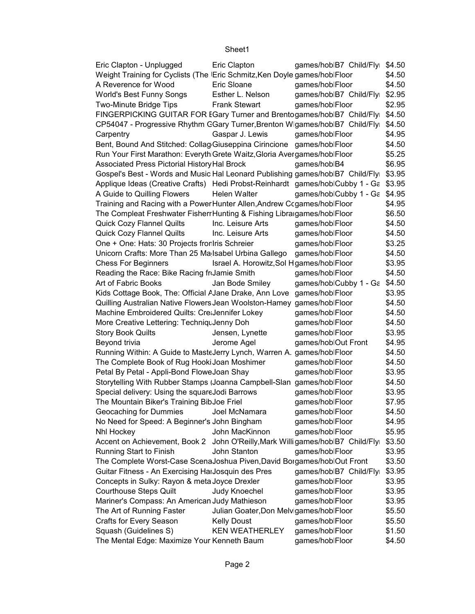| Eric Clapton - Unplugged                                                             | Eric Clapton                             | games/hoblB7 Child/Flyi       | \$4.50 |
|--------------------------------------------------------------------------------------|------------------------------------------|-------------------------------|--------|
| Weight Training for Cyclists (The Eric Schmitz, Ken Doyle games/hoblFloor            |                                          |                               | \$4.50 |
| A Reverence for Wood                                                                 | Eric Sloane                              | games/hoblFloor               | \$4.50 |
| World's Best Funny Songs                                                             | Esther L. Nelson                         | games/hoblB7 Child/Flyi       | \$2.95 |
| <b>Two-Minute Bridge Tips</b>                                                        | <b>Frank Stewart</b>                     | games/hoblFloor               | \$2.95 |
| FINGERPICKING GUITAR FOR EGary Turner and Brentogames/hoblB7 Child/Flyi \$4.50       |                                          |                               |        |
| CP54047 - Progressive Rhythm GGary Turner, Brenton Wigames/hobiB7 Child/Flyi         |                                          |                               | \$4.50 |
| Carpentry                                                                            | Gaspar J. Lewis                          | games/hoblFloor               | \$4.95 |
| Bent, Bound And Stitched: Collag Giuseppina Cirincione games/hoblFloor               |                                          |                               | \$4.50 |
| Run Your First Marathon: Everyth Grete Waitz, Gloria Avergames/hoblFloor             |                                          |                               | \$5.25 |
| Associated Press Pictorial History Hal Brock                                         |                                          | games/hoblB4                  | \$6.95 |
| Gospel's Best - Words and Music Hal Leonard Publishing games/hoblB7 Child/Flyi       |                                          |                               | \$3.95 |
| Applique Ideas (Creative Crafts) Hedi Probst-Reinhardt games/hoblCubby 1 - Ga \$3.95 |                                          |                               |        |
| A Guide to Quilling Flowers                                                          | Helen Walter                             | games/hoblCubby 1 - Ga \$4.95 |        |
| Training and Racing with a Power Hunter Allen, Andrew Ccgames/hoblFloor              |                                          |                               | \$4.95 |
| The Compleat Freshwater Fisherr Hunting & Fishing Libraigames/hoblFloor              |                                          |                               | \$6.50 |
| Quick Cozy Flannel Quilts                                                            | Inc. Leisure Arts                        | games/hoblFloor               | \$4.50 |
| Quick Cozy Flannel Quilts                                                            | Inc. Leisure Arts                        | games/hoblFloor               | \$4.50 |
| One + One: Hats: 30 Projects fror Iris Schreier                                      |                                          | games/hoblFloor               | \$3.25 |
| Unicorn Crafts: More Than 25 Ma Isabel Urbina Gallego                                |                                          | games/hoblFloor               | \$4.50 |
| <b>Chess For Beginners</b>                                                           | Israel A. Horowitz, Sol Hgames/hoblFloor |                               | \$3.95 |
| Reading the Race: Bike Racing friJamie Smith                                         |                                          | games/hoblFloor               | \$4.50 |
| Art of Fabric Books                                                                  | Jan Bode Smiley                          | games/hoblCubby 1 - Ga        | \$4.50 |
| Kids Cottage Book, The: Official AJane Drake, Ann Love                               |                                          | games/hoblFloor               | \$3.95 |
| Quilling Australian Native Flowers Jean Woolston-Hamey games/hoblFloor               |                                          |                               | \$4.50 |
| Machine Embroidered Quilts: Crealennifer Lokey                                       |                                          | games/hoblFloor               | \$4.50 |
| More Creative Lettering: Techniqu Jenny Doh                                          |                                          | games/hoblFloor               | \$4.50 |
| <b>Story Book Quilts</b>                                                             | Jensen, Lynette                          | games/hoblFloor               | \$3.95 |
| Beyond trivia                                                                        | Jerome Agel                              | games/hoblOut Front           | \$4.95 |
| Running Within: A Guide to MasteJerry Lynch, Warren A. games/hoblFloor               |                                          |                               | \$4.50 |
| The Complete Book of Rug Hooki Joan Moshimer                                         |                                          | games/hoblFloor               | \$4.50 |
| Petal By Petal - Appli-Bond FloweJoan Shay                                           |                                          | games/hoblFloor               | \$3.95 |
| Storytelling With Rubber Stamps (Joanna Campbell-Slan games/hoblFloor                |                                          |                               | \$4.50 |
| Special delivery: Using the square Jodi Barrows                                      |                                          | games/hoblFloor               | \$3.95 |
| The Mountain Biker's Training BibJoe Friel                                           |                                          | games/hoblFloor               | \$7.95 |
| Geocaching for Dummies                                                               | Joel McNamara                            | games/hoblFloor               | \$4.50 |
| No Need for Speed: A Beginner's John Bingham                                         |                                          | games/hoblFloor               | \$4.95 |
| Nhl Hockey                                                                           | John MacKinnon                           | games/hoblFloor               | \$5.95 |
| Accent on Achievement, Book 2 John O'Reilly, Mark Willigames/hoblB7 Child/Flyi       |                                          |                               | \$3.50 |
| Running Start to Finish                                                              | John Stanton                             | games/hoblFloor               | \$3.95 |
| The Complete Worst-Case ScenaJoshua Piven, David Borgames/hoblOut Front              |                                          |                               | \$3.50 |
| Guitar Fitness - An Exercising HarJosquin des Pres                                   |                                          | games/hoblB7 Child/Flyr       | \$3.95 |
| Concepts in Sulky: Rayon & meta Joyce Drexler                                        |                                          | games/hoblFloor               | \$3.95 |
| <b>Courthouse Steps Quilt</b>                                                        | Judy Knoechel                            | games/hoblFloor               | \$3.95 |
| Mariner's Compass: An American Judy Mathieson                                        |                                          | games/hoblFloor               | \$3.95 |
| The Art of Running Faster                                                            | Julian Goater, Don Melvigames/hoblFloor  |                               | \$5.50 |
| Crafts for Every Season                                                              | <b>Kelly Doust</b>                       | games/hoblFloor               | \$5.50 |
| Squash (Guidelines S)                                                                | <b>KEN WEATHERLEY</b>                    | games/hoblFloor               | \$1.50 |
| The Mental Edge: Maximize Your Kenneth Baum                                          |                                          | games/hoblFloor               | \$4.50 |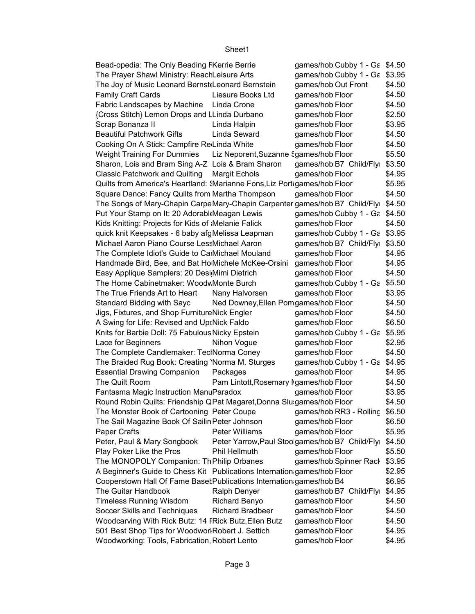| Bead-opedia: The Only Beading FKerrie Berrie                                       |                                        | games/hoblCubby 1 - Ga \$4.50                   |        |
|------------------------------------------------------------------------------------|----------------------------------------|-------------------------------------------------|--------|
| The Prayer Shawl Ministry: ReachLeisure Arts                                       |                                        | games/hoblCubby 1 - Ga \$3.95                   |        |
| The Joy of Music Leonard Bernst Leonard Bernstein                                  |                                        | games/hoblOut Front                             | \$4.50 |
| Family Craft Cards                                                                 | Liesure Books Ltd                      | games/hoblFloor                                 | \$4.50 |
| Fabric Landscapes by Machine Linda Crone                                           |                                        | games/hoblFloor                                 | \$4.50 |
| {Cross Stitch} Lemon Drops and LLinda Durbano                                      |                                        | games/hoblFloor                                 | \$2.50 |
| Scrap Bonanza II                                                                   | Linda Halpin                           | games/hoblFloor                                 | \$3.95 |
| <b>Beautiful Patchwork Gifts</b>                                                   | Linda Seward                           | games/hoblFloor                                 | \$4.50 |
| Cooking On A Stick: Campfire Re Linda White                                        |                                        | games/hoblFloor                                 | \$4.50 |
| Weight Training For Dummies Liz Neporent, Suzanne Sgames/hoblFloor                 |                                        |                                                 | \$5.50 |
| Sharon, Lois and Bram Sing A-Z Lois & Bram Sharon                                  |                                        | games/hoblB7 Child/Flyr                         | \$3.50 |
| Classic Patchwork and Quilting Margit Echols                                       |                                        | games/hoblFloor                                 | \$4.95 |
| Quilts from America's Heartland: {Marianne Fons, Liz Port(games/hoblFloor          |                                        | \$5.95                                          |        |
| Square Dance: Fancy Quilts from Martha Thompson                                    |                                        | games/hoblFloor                                 | \$4.50 |
| The Songs of Mary-Chapin CarpeMary-Chapin Carpenter games/hoblB7 Child/Flyi \$4.50 |                                        |                                                 |        |
| Put Your Stamp on It: 20 Adorabl Meagan Lewis                                      |                                        | games/hoblCubby 1 - Ga \$4.50                   |        |
| Kids Knitting: Projects for Kids of Melanie Falick                                 |                                        | games/hoblFloor                                 | \$4.50 |
| quick knit Keepsakes - 6 baby afgMelissa Leapman                                   |                                        | games/hoblCubby 1 - Ga \$3.95                   |        |
| Michael Aaron Piano Course LessMichael Aaron                                       |                                        | games/hoblB7 Child/Flyi \$3.50                  |        |
| The Complete Idiot's Guide to CarMichael Mouland                                   |                                        | games/hoblFloor                                 | \$4.95 |
| Handmade Bird, Bee, and Bat Ho Michele McKee-Orsini                                |                                        | games/hoblFloor                                 | \$4.95 |
| Easy Applique Samplers: 20 Desi Mimi Dietrich                                      |                                        | games/hoblFloor                                 | \$4.50 |
| The Home Cabinetmaker: WoodwMonte Burch                                            |                                        | games/hoblCubby 1 - Ga \$5.50                   |        |
| The True Friends Art to Heart                                                      | Nany Halvorsen                         | games/hoblFloor                                 | \$3.95 |
| Standard Bidding with Sayc                                                         | Ned Downey, Ellen Pomgames/hoblFloor   |                                                 | \$4.50 |
| Jigs, Fixtures, and Shop FurnitureNick Engler                                      |                                        | games/hoblFloor                                 | \$4.50 |
| A Swing for Life: Revised and Up Nick Faldo                                        |                                        | games/hoblFloor                                 | \$6.50 |
| Knits for Barbie Doll: 75 Fabulous Nicky Epstein                                   |                                        | games/hoblCubby 1 - Ga \$5.95                   |        |
| Lace for Beginners                                                                 | Nihon Vogue                            | games/hoblFloor                                 | \$2.95 |
| The Complete Candlemaker: TeclNorma Coney                                          |                                        | games/hoblFloor                                 | \$4.50 |
| The Braided Rug Book: Creating 'Norma M. Sturges                                   |                                        | games/hoblCubby 1 - Ga \$4.95                   |        |
| <b>Essential Drawing Companion</b>                                                 | Packages                               | games/hoblFloor                                 | \$4.95 |
| The Quilt Room                                                                     | Pam Lintott, Rosemary Agames/hoblFloor |                                                 | \$4.50 |
| Fantasma Magic Instruction ManuParadox                                             |                                        | games/hoblFloor                                 | \$3.95 |
| Round Robin Quilts: Friendship QPat Magaret, Donna Slu:games/hoblFloor             |                                        |                                                 | \$4.50 |
| The Monster Book of Cartooning Peter Coupe                                         |                                        | games/hoblRR3 - Rolling                         | \$6.50 |
| The Sail Magazine Book Of Sailin Peter Johnson                                     |                                        | games/hoblFloor                                 | \$6.50 |
| Paper Crafts                                                                       | Peter Williams                         | games/hoblFloor                                 | \$5.95 |
| Peter, Paul & Mary Songbook                                                        |                                        | Peter Yarrow, Paul Stoolgames/hoblB7 Child/Flyi | \$4.50 |
| Play Poker Like the Pros                                                           | Phil Hellmuth                          | games/hoblFloor                                 | \$5.50 |
| The MONOPOLY Companion: Th Philip Orbanes                                          |                                        | games/hoblSpinner Rack                          | \$3.95 |
| A Beginner's Guide to Chess Kit Publications Internation games/hoblFloor           |                                        | \$2.95                                          |        |
| Cooperstown Hall Of Fame Baset Publications Internation games/hoblB4               |                                        |                                                 | \$6.95 |
| The Guitar Handbook                                                                | Ralph Denyer                           | games/hoblB7 Child/Flyi                         | \$4.95 |
| <b>Timeless Running Wisdom</b>                                                     | <b>Richard Benyo</b>                   | games/hoblFloor                                 | \$4.50 |
| Soccer Skills and Techniques                                                       | <b>Richard Bradbeer</b>                | games/hoblFloor                                 | \$4.50 |
| Woodcarving With Rick Butz: 14 FRick Butz, Ellen Butz                              |                                        | games/hoblFloor                                 | \$4.50 |
| 501 Best Shop Tips for WoodworlRobert J. Settich                                   |                                        | games/hoblFloor                                 | \$4.95 |
| Woodworking: Tools, Fabrication, Robert Lento                                      |                                        | games/hoblFloor                                 | \$4.95 |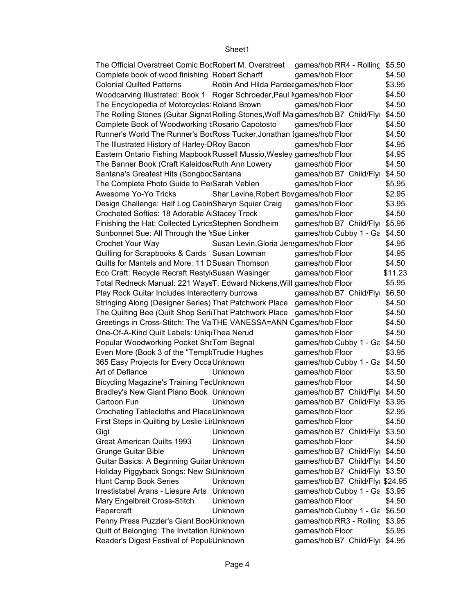| The Official Overstreet Comic BocRobert M. Overstreet                            |                                         | games/hoblRR4 - Rolling \$5.50  |         |
|----------------------------------------------------------------------------------|-----------------------------------------|---------------------------------|---------|
| Complete book of wood finishing Robert Scharff                                   |                                         | games/hoblFloor                 | \$4.50  |
| <b>Colonial Quilted Patterns</b>                                                 | Robin And Hilda Pardecgames/hoblFloor   |                                 | \$3.95  |
| Woodcarving Illustrated: Book 1 Roger Schroeder, Paul Agames/hoblFloor           |                                         |                                 | \$4.50  |
| The Encyclopedia of Motorcycles: Roland Brown                                    |                                         | games/hoblFloor                 | \$4.50  |
| The Rolling Stones (Guitar Signat Rolling Stones, Wolf Magames/hoblB7 Child/Flyi |                                         |                                 | \$4.50  |
| Complete Book of Woodworking Ł Rosario Capotosto                                 |                                         | games/hoblFloor                 | \$4.50  |
| Runner's World The Runner's BocRoss Tucker, Jonathan Igames/hoblFloor            |                                         |                                 | \$4.50  |
| The Illustrated History of Harley-DRoy Bacon                                     |                                         | games/hoblFloor                 | \$4.95  |
| Eastern Ontario Fishing Mapbook Russell Mussio, Wesley games/hoblFloor           |                                         |                                 | \$4.95  |
| The Banner Book (Craft Kaleidos Ruth Ann Lowery                                  |                                         | games/hoblFloor                 | \$4.50  |
| Santana's Greatest Hits (SongbocSantana                                          |                                         | games/hoblB7 Child/Flyr         | \$4.50  |
| The Complete Photo Guide to PerSarah Veblen                                      |                                         | games/hoblFloor                 | \$5.95  |
| Awesome Yo-Yo Tricks                                                             | Shar Levine, Robert Bovgames/hoblFloor  |                                 | \$2.95  |
| Design Challenge: Half Log CabinSharyn Squier Craig                              |                                         | games/hoblFloor                 | \$3.95  |
| Crocheted Softies: 18 Adorable A Stacey Trock                                    |                                         | games/hoblFloor                 | \$4.50  |
| Finishing the Hat: Collected LyricsStephen Sondheim                              |                                         | games/hoblB7 Child/Flyi \$5.95  |         |
| Sunbonnet Sue: All Through the <i>Sue Linker</i>                                 |                                         | games/hoblCubby 1 - Ga \$4.50   |         |
| Crochet Your Way                                                                 | Susan Levin, Gloria Jensgames/hoblFloor |                                 | \$4.95  |
| Quilling for Scrapbooks & Cards Susan Lowman                                     |                                         | games/hoblFloor                 | \$4.95  |
| Quilts for Mantels and More: 11 DSusan Thomson                                   |                                         | games/hoblFloor                 | \$4.50  |
| Eco Craft: Recycle Recraft Restyl Susan Wasinger                                 |                                         | games/hoblFloor                 | \$11.23 |
| Total Redneck Manual: 221 WaysT. Edward Nickens, Will games/hoblFloor            |                                         |                                 | \$5.95  |
|                                                                                  |                                         |                                 | \$6.50  |
| Play Rock Guitar Includes Interacterry burrows                                   |                                         | games/hoblB7 Child/Flyi         |         |
| Stringing Along (Designer Series) That Patchwork Place                           |                                         | games/hoblFloor                 | \$4.50  |
| The Quilting Bee (Quilt Shop Seri That Patchwork Place                           |                                         | games/hoblFloor                 | \$4.50  |
| Greetings in Cross-Stitch: The Va THE VANESSA=ANN Cgames/hoblFloor               |                                         |                                 | \$4.50  |
| One-Of-A-Kind Quilt Labels: Uniq Thea Nerud                                      |                                         | games/hoblFloor                 | \$4.50  |
| Popular Woodworking Pocket ShrTom Begnal                                         |                                         | games/hoblCubby 1 - Ga \$4.50   |         |
| Even More (Book 3 of the "TemplaTrudie Hughes                                    |                                         | games/hoblFloor                 | \$3.95  |
| 365 Easy Projects for Every Occa Unknown                                         |                                         | games/hoblCubby 1 - Ga \$4.50   |         |
| Art of Defiance                                                                  | Unknown                                 | games/hoblFloor                 | \$3.50  |
| <b>Bicycling Magazine's Training TecUnknown</b>                                  |                                         | games/hoblFloor                 | \$4.50  |
| Bradley's New Giant Piano Book Unknown                                           |                                         | games/hoblB7 Child/Flyi \$4.50  |         |
| Cartoon Fun                                                                      | Unknown                                 | games/hoblB7 Child/Flyi \$3.95  |         |
| Crocheting Tablecloths and PlaceUnknown                                          |                                         | games/hoblFloor                 | \$2.95  |
| First Steps in Quilting by Leslie LiıUnknown                                     |                                         | games/hoblFloor                 | \$4.50  |
| Gigi                                                                             | Unknown                                 | games/hoblB7 Child/Flyr         | \$3.50  |
| <b>Great American Quilts 1993</b>                                                | Unknown                                 | games/hoblFloor                 | \$4.50  |
| <b>Grunge Guitar Bible</b>                                                       | Unknown                                 | games/hoblB7 Child/Flyi \$4.50  |         |
| Guitar Basics: A Beginning Guitar Unknown                                        |                                         | games/hoblB7 Child/Flyi \$4.50  |         |
| Holiday Piggyback Songs: New S <sub>'</sub> Unknown                              |                                         | games/hoblB7 Child/Flyi \$3.50  |         |
| Hunt Camp Book Series                                                            | Unknown                                 | games/hoblB7 Child/Flyi \$24.95 |         |
| Irrestistabel Arans - Liesure Arts                                               | Unknown                                 | games/hoblCubby 1 - Ga \$3.95   |         |
| Mary Engelbreit Cross-Stitch                                                     | Unknown                                 | games/hoblFloor                 | \$4.50  |
| Papercraft                                                                       | Unknown                                 | games/hoblCubby 1 - Ga \$6.50   |         |
| Penny Press Puzzler's Giant Bool Unknown                                         |                                         | games/hoblRR3 - Rolling \$3.95  |         |
| Quilt of Belonging: The Invitation IUnknown                                      |                                         | games/hoblFloor                 | \$5.95  |
| Reader's Digest Festival of Popul Unknown                                        |                                         | games/hoblB7 Child/Flyi \$4.95  |         |